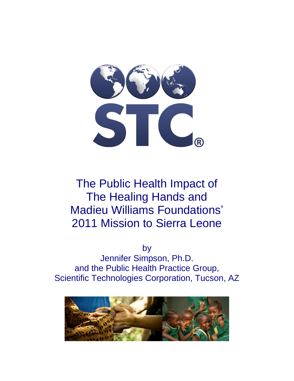

# The Public Health Impact of The Healing Hands and Madieu Williams Foundations' 2011 Mission to Sierra Leone

by

Jennifer Simpson, Ph.D. and the Public Health Practice Group, Scientific Technologies Corporation, Tucson, AZ

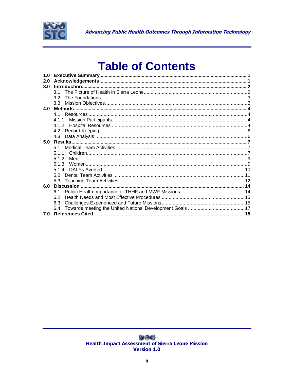

# **Table of Contents**

| 1.0 |                  |  |
|-----|------------------|--|
| 2.0 |                  |  |
| 3.0 |                  |  |
|     | 3 1              |  |
|     | 32 <sup>-</sup>  |  |
|     | 3.3 <sub>1</sub> |  |
| 4.0 |                  |  |
|     |                  |  |
|     | 4.1.1            |  |
|     |                  |  |
|     |                  |  |
|     |                  |  |
| 5.0 |                  |  |
|     | 51               |  |
|     | 5.1.1            |  |
|     | 5.1.2            |  |
|     | 5.1.3            |  |
|     |                  |  |
|     |                  |  |
|     |                  |  |
| 6.0 |                  |  |
|     | 6.1              |  |
|     | 62               |  |
|     |                  |  |
|     | 6.3              |  |
|     | 6.4              |  |
| 7.0 |                  |  |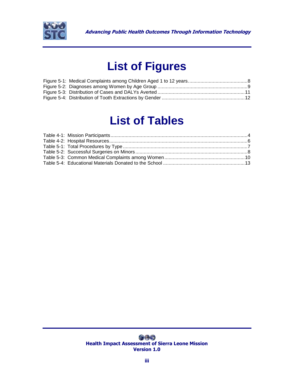

# **List of Figures**

# **List of Tables**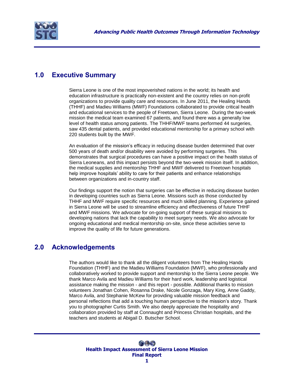

# <span id="page-3-0"></span>**1.0 Executive Summary**

Sierra Leone is one of the most impoverished nations in the world; its health and education infrastructure is practically non-existent and the country relies on non-profit organizations to provide quality care and resources. In June 2011, the Healing Hands (THHF) and Madieu Williams (MWF) Foundations collaborated to provide critical health and educational services to the people of Freetown, Sierra Leone. During the two-week mission the medical team examined 67 patients, and found there was a generally low level of health status among patients. The THHF/MWF teams performed 44 surgeries, saw 435 dental patients, and provided educational mentorship for a primary school with 220 students built by the MWF.

An evaluation of the mission"s efficacy in reducing disease burden determined that over 500 years of death and/or disability were avoided by performing surgeries. This demonstrates that surgical procedures can have a positive impact on the health status of Sierra Leoneans, and this impact persists beyond the two-week mission itself. In addition, the medical supplies and mentorship THHF and MWF delivered to Freetown hospitals help improve hospitals" ability to care for their patients and enhance relationships between organizations and in-country staff.

Our findings support the notion that surgeries can be effective in reducing disease burden in developing countries such as Sierra Leone. Missions such as those conducted by THHF and MWF require specific resources and much skilled planning. Experience gained in Sierra Leone will be used to streamline efficiency and effectiveness of future THHF and MWF missions. We advocate for on-going support of these surgical missions to developing nations that lack the capability to meet surgery needs. We also advocate for ongoing educational and medical mentorship on-site, since these activities serve to improve the quality of life for future generations.

## <span id="page-3-1"></span>**2.0 Acknowledgements**

The authors would like to thank all the diligent volunteers from The Healing Hands Foundation (THHF) and the Madieu Williams Foundation (MWF), who professionally and collaboratively worked to provide support and mentorship to the Sierra Leone people. We thank Marco Avila and Madieu Williams for their hard work, leadership and logistical assistance making the mission - and this report - possible. Additional thanks to mission volunteers Jonathan Cohen, Rosanna Drake, Nicole Gonzaga, Mary King, Anne Gaddy, Marco Avila, and Stephanie McKew for providing valuable mission feedback and personal reflections that add a touching human perspective to the mission's story. Thank you to photographer Curtis Smith. We also deeply appreciate the hospitality and collaboration provided by staff at Connaught and Princess Christian hospitals, and the teachers and students at Abigail D. Butscher School.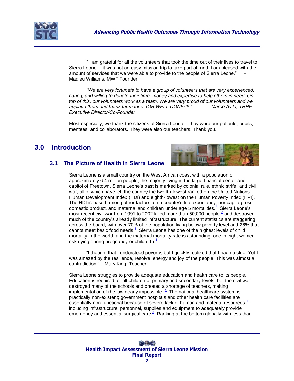

" I am grateful for all the volunteers that took the time out of their lives to travel to Sierra Leone… it was not an easy mission trip to take part of [and] I am pleased with the amount of services that we were able to provide to the people of Sierra Leone." – Madieu Williams, MWF Founder

*"We are very fortunate to have a group of volunteers that are very experienced, caring, and willing to donate their time, money and expertise to help others in need. On top of this, our volunteers work as a team. We are very proud of our volunteers and we applaud them and thank them for a JOB WELL DONE!!!! " – Marco Avila, THHF Executive Director/Co-Founder*

Most especially, we thank the citizens of Sierra Leone… they were our patients, pupils, mentees, and collaborators. They were also our teachers. Thank you.

## <span id="page-4-1"></span><span id="page-4-0"></span>**3.0 Introduction**



#### **3.1 The Picture of Health in Sierra Leone**

Sierra Leone is a small country on the West African coast with a population of approximately 6.4 million people, the majority living in the large financial center and capitol of Freetown. Sierra Leone"s past is marked by colonial rule, ethnic strife, and civil war, all of which have left the country the twelfth-lowest ranked on the United Nations" Human Development Index (HDI) and eighth-lowest on the Human Poverty Index (HPI). The HDI is based among other factors, on a country"s life expectancy, per capita gross domestic product, and maternal and children under age 5 mortalities[.](#page-20-0)<sup>1</sup> Sierra Leone's most recent civil war from 1991 to [2](#page-20-1)002 killed more than 50,000 people  $\frac{2}{3}$  and destroyed much of the country"s already limited infrastructure. The current statistics are staggering across the board, with over 70% of the population living below poverty level and 26% that cannot meet basic food needs[.](#page-20-2)<sup>3</sup> Sierra Leone has one of the highest levels of child mortality in the world, and the maternal mortality rate is astounding: one in eight women risk dying during pregnancy or childbirth[.](#page-20-2) $\frac{3}{2}$ 

"I thought that I understood poverty, but I quickly realized that I had no clue. Yet I was amazed by the resilience, resolve, energy and joy of the people. This was almost a contradiction." – Mary King, Teacher

Sierra Leone struggles to provide adequate education and health care to its people. Education is required for all children at primary and secondary levels, but the civil war destroyed many of the schools and created a shortage of teachers, making implementation of the law nearly impossible.  $4$  The national healthcare system is practically non-existent; government hospitals and other health care facilities are essentially non-functional because of severe lack of human and material resources[,](#page-20-0)<sup>1</sup> including infrastructure, personnel, supplies and equipment to adequately provide emergency and essential surgical care[.](#page-20-4)<sup>5</sup> Ranking at the bottom globally with less than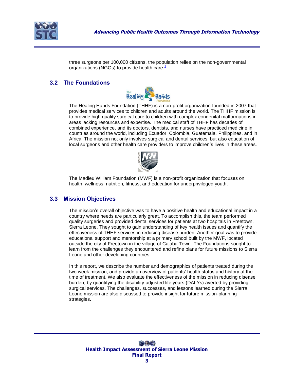

three surgeons per 100,000 citizens, the population relies on the non-governmental organizations (NGOs) to provide health care[.](#page-20-0)<sup>1</sup>

#### <span id="page-5-0"></span>**3.2 The Foundations**



The Healing Hands Foundation (THHF) is a non-profit organization founded in 2007 that provides medical services to children and adults around the world. The THHF mission is to provide high quality surgical care to children with complex congenital malformations in areas lacking resources and expertise. The medical staff of THHF has decades of combined experience, and its doctors, dentists, and nurses have practiced medicine in countries around the world, including Ecuador, Colombia, Guatemala, Philippines, and in Africa. The mission not only involves surgical and dental services, but also education of local surgeons and other health care providers to improve children"s lives in these areas.



The Madieu William Foundation (MWF) is a non-profit organization that focuses on health, wellness, nutrition, fitness, and education for underprivileged youth.

#### <span id="page-5-1"></span>**3.3 Mission Objectives**

The mission"s overall objective was to have a positive health and educational impact in a country where needs are particularly great. To accomplish this, the team performed quality surgeries and provided dental services for patients at two hospitals in Freetown, Sierra Leone. They sought to gain understanding of key health issues and quantify the effectiveness of THHF services in reducing disease burden. Another goal was to provide educational support and mentorship at a primary school built by the MWF, located outside the city of Freetown in the village of Calaba Town. The Foundations sought to learn from the challenges they encountered and refine plans for future missions to Sierra Leone and other developing countries.

In this report, we describe the number and demographics of patients treated during the two week mission, and provide an overview of patients" health status and history at the time of treatment. We also evaluate the effectiveness of the mission in reducing disease burden, by quantifying the disability-adjusted life years (DALYs) averted by providing surgical services. The challenges, successes, and lessons learned during the Sierra Leone mission are also discussed to provide insight for future mission-planning strategies.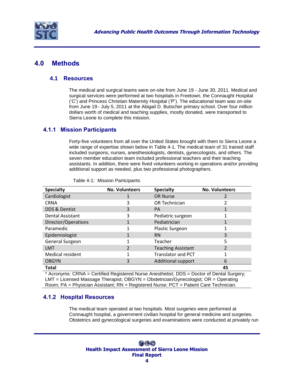

## <span id="page-6-1"></span><span id="page-6-0"></span>**4.0 Methods**

#### **4.1 Resources**

The medical and surgical teams were on-site from June 19 - June 30, 2011. Medical and surgical services were performed at two hospitals in Freetown, the Connaught Hospital ("C") and Princess Christian Maternity Hospital ("P"). The educational team was on-site from June 19 - July 5, 2011 at the Abigail D. Butscher primary school. Over four million dollars worth of medical and teaching supplies, mostly donated, were transported to Sierra Leone to complete this mission.

#### <span id="page-6-2"></span>**4.1.1 Mission Participants**

Forty-five volunteers from all over the United States brought with them to Sierra Leone a wide range of expertise shown below in Table 4-1. The medical team of 31 trained staff included surgeons, nurses, anesthesiologists, dentists, gynecologists, and others. The seven member education team included professional teachers and their teaching assistants. In addition, there were fived volunteers working in operations and/or providing additional support as needed, plus two professional photographers.

| <b>Specialty</b>        | <b>No. Volunteers</b> | <b>Specialty</b>          | <b>No. Volunteers</b> |
|-------------------------|-----------------------|---------------------------|-----------------------|
| Cardiologist            | 1                     | <b>OR Nurse</b>           | 2                     |
| <b>CRNA</b>             | 3                     | OR Technician             |                       |
| DDS & Dentist           | 3                     | <b>PA</b>                 |                       |
| <b>Dental Assistant</b> | 3                     | Pediatric surgeon         |                       |
| Director/Operations     | 1                     | Pediatrician              |                       |
| Paramedic               |                       | <b>Plastic Surgeon</b>    |                       |
| Epidemiologist          | 1                     | <b>RN</b>                 | 3                     |
| General Surgeon         |                       | Teacher                   | 5                     |
| <b>LMT</b>              | C                     | <b>Teaching Assistant</b> |                       |
| <b>Medical resident</b> |                       | <b>Translator and PCT</b> |                       |
| <b>OBGYN</b>            | 3                     | <b>Additional support</b> | 6                     |
| <b>Total</b>            |                       |                           | 45                    |

<span id="page-6-4"></span>Table 4-1: Mission Participants

\* Acronyms: CRNA = Certified Registered Nurse Anesthetist; DDS = Doctor of Dental Surgery; LMT = Licensed Massage Therapist; OBGYN = Obstetrician/Gynecologist; OR = Operating Room; PA = Physician Assistant; RN = Registered Nurse; PCT = Patient Care Technician.

### <span id="page-6-3"></span>**4.1.2 Hospital Resources**

The medical team operated at two hospitals. Most surgeries were performed at Connaught hospital, a government civilian hospital for general medicine and surgeries. Obstetrics and gynecological surgeries and examinations were conducted at privately run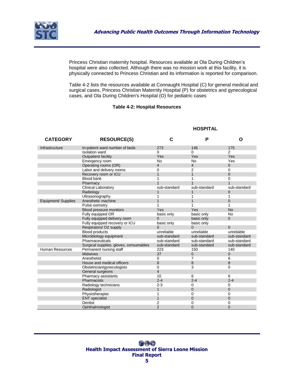

Princess Christian maternity hospital. Resources available at Ola During Children"s hospital were also collected. Although there was no mission work at this facility, it is physically connected to Princess Christian and its information is reported for comparison.

Table 4-2 lists the resources available at Connaught Hospital (C) for general medical and surgical cases, Princess Christian Maternity Hospital (P) for obstetrics and gynecological cases, and Ola During Children's Hospital (O) for pediatric cases

#### **Table 4-2: Hospital Resources**

#### **CATEGORY RESOURCE(S) C P O** Infrastructure In-patient ward number of beds 273 146 175 Isolation ward  $\begin{array}{ccc} 0 & 0 & 2 \\ \text{Outpatient facility} & \text{Yes} & \text{Yes} & \text{Yes} \end{array}$ **Outpatient facility Yes** Yes Emergency room No No No Yes<br>
Operating rooms (OR) 4 4 4 0 0 Operating rooms (OR) Labor and delivery rooms 0 2 0 Recovery room or ICU 1 1 1 0 0 Blood bank 1 1 0 Pharmacy 1 1 1 Clinical Laboratory sub-standard sub-standard sub-standard Radiology 1 1 0 Ultrasonography 1 1 1 Equipment/ Supplies Anesthetic machine 1 1 0 Pulse oximetry 1 1 1 Blood pressure monitors Tes Yes Yes Yes<br>
Fully equipped OR basic only basic only Fully equipped OR basic only basic only basic only basic only Fully equipped delivery room 0 basic only 0 basic only 0 basic only 0 basic only 0 control 0 basic only 0 control 0 control 0 control 0 control 0 control 0 control 0 control 0 control 0 control 0 control 0 control 0 contro Fully equipped recovery or ICU basic only basic only Respirators/ O2 supply  $\begin{array}{ccc} 0 & 0 & 0 \end{array}$ <br>Rood products integration integration of the contract of the contract of the contract of the contract of the contract of the contract of the contract of the contract of the con Blood products and the unreliable unreliable unreliable unreliable unreliable unreliable<br>
Microbiology equipment sub-standard sub-standard sub-standard sub-standard Microbiology equipment Pharmaceuticals sub-standard sub-standard sub-standard Surgical supplies, gloves, consumables sub-standard sub-standard sub-standard sub-standard<br>
Permanent nursing staff 223 150 140 Human Resources Permanent nursing staff 223<br>Midwives 37 Midwives 37 0 0 Anesthetist 6 6 House and medical officers and medical officers and the set of the set of the set of the set of the set of the set of the set of the set of the set of the set of the set of the set of the set of the set of the set of the s Obstetrician/gynecologists 0 3 General surgeons 4 Pharmacy assistants 10 6 6 6 6<br>Pharmacists 10 2-4 2-4 2-4 Pharmacists Radiology technicians 2-3 0 0 Radiologist 1 0 0 Physiotherapist 1 0 0 ENT specialist 1 0 0 Dentist  $2$  0 0 0 Ophthalmologist 2 0 0

#### **HOSPITAL**

<span id="page-7-0"></span> $\bigcirc$ **Health Impact Assessment of Sierra Leone Mission Final Report**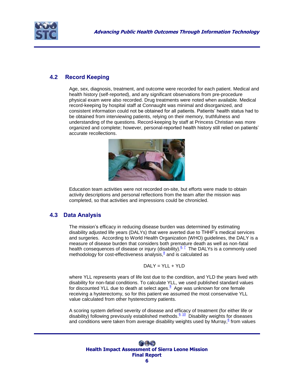

## <span id="page-8-0"></span>**4.2 Record Keeping**

Age, sex, diagnosis, treatment, and outcome were recorded for each patient. Medical and health history (self-reported), and any significant observations from pre-procedure physical exam were also recorded. Drug treatments were noted when available. Medical record-keeping by hospital staff at Connaught was minimal and disorganized, and consistent information could not be obtained for all patients. Patients" health status had to be obtained from interviewing patients, relying on their memory, truthfulness and understanding of the questions. Record-keeping by staff at Princess Christian was more organized and complete; however, personal-reported health history still relied on patients" accurate recollections.



Education team activities were not recorded on-site, but efforts were made to obtain activity descriptions and personal reflections from the team after the mission was completed, so that activities and impressions could be chronicled.

### <span id="page-8-1"></span>**4.3 Data Analysis**

The mission"s efficacy in reducing disease burden was determined by estimating disability adjusted life years (DALYs) that were averted due to THHF"s medical services and surgeries. According to World Health Organization (WHO) guidelines, the DALY is a measure of disease burden that considers both premature death as well as non-fatal health consequences of disease or injury (disability).<sup>[6,](#page-20-5) Z</sup> The DALYs is a commonly used methodology for cost-effectiveness analysis[,](#page-20-7)<sup>8</sup> and is calculated as

$$
DALY = YLL + YLD
$$

where YLL represents years of life lost due to the condition, and YLD the years lived with disability for non-fatal conditions. To calculate YLL, we used published standard values for discounted YLL due to death at select ages[.](#page-20-8) <sup>9</sup> Age was unknown for one female receiving a hysterectomy, so for this patient we assumed the most conservative YLL value calculated from other hysterectomy patients.

A scoring system defined severity of disease and efficacy of treatment (for either life or disability) following previously established methods.<sup>[6,](#page-20-5) [10](#page-20-9)</sup> Disability weights for diseases and conditions were taken from average disability weights used by Murray[,](#page-20-5)<sup>6</sup> from values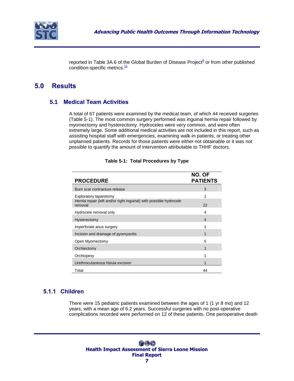

repor[t](#page-20-8)ed in Table 3A.6 of the Global Burden of Disease Project<sup>9</sup> or from other published condition-specific metrics.<sup>[11](#page-20-10)</sup>

## <span id="page-9-0"></span>**5.0 Results**

#### <span id="page-9-1"></span>**5.1 Medical Team Activities**

A total of 67 patients were examined by the medical team, of which 44 received surgeries [\(Table 5-1\)](#page-9-3). The most common surgery performed was inguinal hernia repair followed by myomectomy and hysterectomy. Hydroceles were very common, and were often extremely large. Some additional medical activities are not included in this report, such as assisting hospital staff with emergencies, examining walk-in patients, or treating other unplanned patients. Records for those patients were either not obtainable or it was not possible to quantify the amount of intervention attributable to THHF doctors.

<span id="page-9-3"></span>

| <b>PROCEDURE</b>                                                              | NO. OF<br><b>PATIENTS</b> |
|-------------------------------------------------------------------------------|---------------------------|
| Burn scar contracture release                                                 | 3                         |
| Exploratory laparotomy                                                        |                           |
| Hernia repair (left and/or right inguinal) with possible hydrocele<br>removal | 22                        |
| Hydrocele removal only                                                        | 4                         |
| Hysterectomy                                                                  | $\overline{\mathcal{A}}$  |
| Imperforate anus surgery                                                      |                           |
| Incision and drainage of pyomyocitis                                          |                           |
| Open Myomectomy                                                               | 5                         |
| Orchiectomy                                                                   | 1                         |
| Orchiopexy                                                                    |                           |
| Urethrocutaneous fistula excision                                             |                           |
| Total                                                                         | 44                        |

#### **Table 5-1: Total Procedures by Type**

### <span id="page-9-2"></span>**5.1.1 Children**

There were 15 pediatric patients examined between the ages of 1 (1 yr 8 mo) and 12 years, with a mean age of 6.2 years. Successful surgeries with no post-operative complications recorded were performed on 12 of these patients. One perioperative death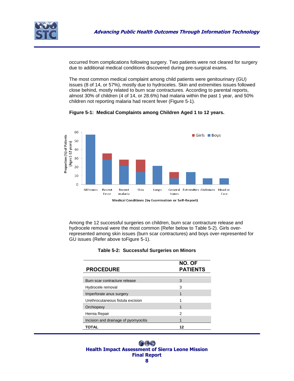

occurred from complications following surgery. Two patients were not cleared for surgery due to additional medical conditions discovered during pre-surgical exams.

The most common medical complaint among child patients were genitourinary (GU) issues (8 of 14, or 57%), mostly due to hydroceles. Skin and extremities issues followed close behind, mostly related to burn scar contractures. According to parental reports, almost 30% of children (4 of 14, or 28.6%) had malaria within the past 1 year, and 50% children not reporting malaria had recent fever [\(Figure 5-1\)](#page-10-0).

<span id="page-10-0"></span>

**Figure 5-1: Medical Complaints among Children Aged 1 to 12 years.**

Medical Conditions (by Examination or Self-Report)

<span id="page-10-1"></span>Among the 12 successful surgeries on children, burn scar contracture release and hydrocele removal were the most common (Refer below to [Table 5-2\)](#page-10-1). Girls overrepresented among skin issues (burn scar contractures) and boys over-represented for GU issues (Refer above t[oFigure](#page-10-0) 5-1).

| <b>PROCEDURE</b>                     | NO. OF<br><b>PATIENTS</b> |
|--------------------------------------|---------------------------|
| Burn scar contracture release        | 3                         |
| Hydrocele removal                    | 3                         |
| Imperforate anus surgery             | 1                         |
| Urethrocutaneous fistula excision    |                           |
| Orchiopexy                           |                           |
| Hernia Repair                        | 2                         |
| Incision and drainage of pyomyocitis |                           |
| TOTAL                                |                           |

|  | <b>Table 5-2: Successful Surgeries on Minors</b> |  |  |  |
|--|--------------------------------------------------|--|--|--|
|--|--------------------------------------------------|--|--|--|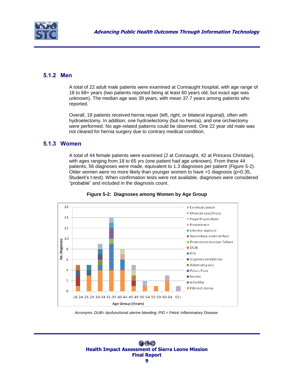

## <span id="page-11-0"></span>**5.1.2 Men**

A total of 22 adult male patients were examined at Connaught hospital, with age range of 18 to 68+ years (two patients reported being at least 60 years old, but exact age was unknown). The median age was 39 years, with mean 37.7 years among patients who reported.

Overall, 19 patients received hernia repair (left, right, or bilateral inguinal), often with hydroelectomy. In addition, one hydroelectomy (but no hernia), and one orchiectomy were performed. No age-related patterns could be observed. One 22 year old male was not cleared for hernia surgery due to contrary medical condition.

#### <span id="page-11-1"></span>**5.1.3 Women**

A total of 44 female patients were examined (2 at Connaught, 42 at Princess Christian), with ages ranging from 18 to 65 yrs (one patient had age unknown). From these 44 patients, 56 diagnoses were made, equivalent to 1.3 diagnoses per patient [\(Figure 5-2\)](#page-11-2). Older women were no more likely than younger women to have >1 diagnosis (p=0.35, Student"s t-test). When confirmation tests were not available, diagnoses were considered "probable" and included in the diagnosis count.

<span id="page-11-2"></span>

**Figure 5-2: Diagnoses among Women by Age Group**

*Acronyms: DUB= dysfunctional uterine bleeding; PID = Pelvic Inflammatory Disease.*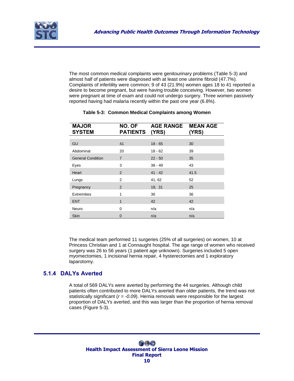

The most common medical complaints were genitourinary problems (Table 5-3) and almost half of patients were diagnosed with at least one uterine fibroid (47.7%). Complaints of infertility were common; 9 of 43 (21.9%) women ages 18 to 41 reported a desire to become pregnant, but were having trouble conceiving. However, two women were pregnant at time of exam and could not undergo surgery. Three women passively reported having had malaria recently within the past one year (6.8%).

<span id="page-12-1"></span>

| <b>MAJOR</b><br><b>SYSTEM</b> | NO. OF<br><b>PATIENTS</b> | AGE RANGE MEAN AGE<br>(YRS) | (YRS) |
|-------------------------------|---------------------------|-----------------------------|-------|
|                               |                           |                             |       |
| GU                            | 41                        | $18 - 65$                   | 30    |
| Abdominal                     | 20                        | $18 - 62$                   | 39    |
| <b>General Condition</b>      | $\overline{7}$            | $22 - 50$                   | 35    |
| Eyes                          | 3                         | $38 - 49$                   | 43    |
| Heart                         | 2                         | $41 - 42$                   | 41.5  |
| Lungs                         | 2                         | 41, 62                      | 52    |
| Pregnancy                     | 2                         | 18, 31                      | 25    |
| <b>Extremities</b>            | 1                         | 36                          | 36    |
| <b>ENT</b>                    | 1                         | 42                          | 42    |
| Neuro                         | $\Omega$                  | n/a                         | n/a   |
| <b>Skin</b>                   | 0                         | n/a                         | n/a   |

#### **Table 5-3: Common Medical Complaints among Women**

The medical team performed 11 surgeries (25% of all surgeries) on women, 10 at Princess Christian and 1 at Connaught hospital. The age range of women who received surgery was 26 to 56 years (1 patient age unknown). Surgeries included 5 open myomectomies, 1 incisional hernia repair, 4 hysterectomies and 1 exploratory laparotomy.

### <span id="page-12-0"></span>**5.1.4 DALYs Averted**

A total of 569 DALYs were averted by performing the 44 surgeries. Although child patients often contributed to more DALYs averted than older patients, the trend was not statistically significant ( $r = -0.09$ ). Hernia removals were responsible for the largest proportion of DALYs averted, and this was larger than the proportion of hernia removal cases (Figure 5-3).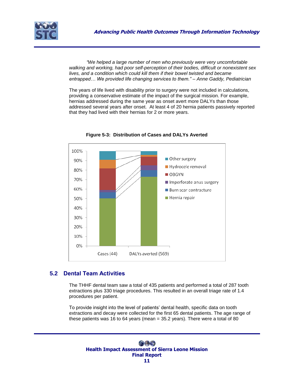

*"We helped a large number of men who previously were very uncomfortable walking and working, had poor self-perception of their bodies, difficult or nonexistent sex lives, and a condition which could kill them if their bowel twisted and became entrapped… We provided life changing services to them." – Anne Gaddy, Pediatrician*

The years of life lived with disability prior to surgery were not included in calculations, providing a conservative estimate of the impact of the surgical mission. For example, hernias addressed during the same year as onset avert more DALYs than those addressed several years after onset. At least 4 of 20 hernia patients passively reported that they had lived with their hernias for 2 or more years.

<span id="page-13-1"></span>

**Figure 5-3: Distribution of Cases and DALYs Averted**

### <span id="page-13-0"></span>**5.2 Dental Team Activities**

The THHF dental team saw a total of 435 patients and performed a total of 287 tooth extractions plus 330 triage procedures. This resulted in an overall triage rate of 1.4 procedures per patient.

To provide insight into the level of patients" dental health, specific data on tooth extractions and decay were collected for the first 65 dental patients. The age range of these patients was 16 to 64 years (mean = 35.2 years). There were a total of 80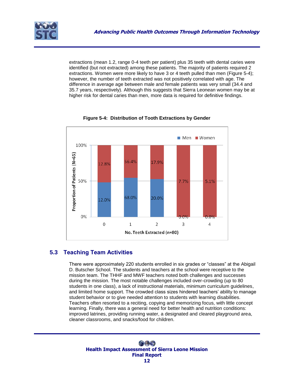

extractions (mean 1.2, range 0-4 teeth per patient) plus 35 teeth with dental caries were identified (but not extracted) among these patients. The majority of patients required 2 extractions. Women were more likely to have 3 or 4 teeth pulled than men (Figure 5-4); however, the number of teeth extracted was not positively correlated with age. The difference in average age between male and female patients was very small (34.4 and 35.7 years, respectively). Although this suggests that Sierra Leonean women may be at higher risk for dental caries than men, more data is required for definitive findings.

<span id="page-14-1"></span>

**Figure 5-4: Distribution of Tooth Extractions by Gender**

## <span id="page-14-0"></span>**5.3 Teaching Team Activities**

There were approximately 220 students enrolled in six grades or "classes" at the Abigail D. Butscher School. The students and teachers at the school were receptive to the mission team. The THHF and MWF teachers noted both challenges and successes during the mission. The most notable challenges included over-crowding (up to 80 students in one class), a lack of instructional materials, minimum curriculum guidelines, and limited home support. The crowded class sizes hindered teachers" ability to manage student behavior or to give needed attention to students with learning disabilities. Teachers often resorted to a reciting, copying and memorizing focus, with little concept learning. Finally, there was a general need for better health and nutrition conditions: improved latrines, providing running water, a designated and cleared playground area, cleaner classrooms, and snacks/food for children.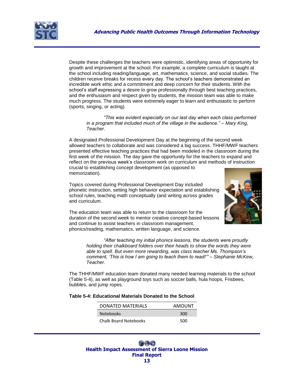

Despite these challenges the teachers were optimistic, identifying areas of opportunity for growth and improvement at the school. For example, a complete curriculum is taught at the school including reading/language, art, mathematics, science, and social studies. The children receive breaks for recess every day. The school"s teachers demonstrated an incredible work ethic and a commitment and deep concern for their students. With the school"s staff expressing a desire to grow professionally through best teaching practices, and the enthusiasm and respect given by students, the mission team was able to make much progress. The students were extremely eager to learn and enthusiastic to perform (sports, singing, or acting).

*"This was evident especially on our last day when each class performed in a program that included much of the village in the audience." – Mary King, Teacher*.

A designated Professional Development Day at the beginning of the second week allowed teachers to collaborate and was considered a big success. THHF/MWF teachers presented effective teaching practices that had been modeled in the classroom during the first week of the mission. The day gave the opportunity for the teachers to expand and reflect on the previous week"s classroom work on curriculum and methods of instruction crucial to establishing concept development (as opposed to memorization).

Topics covered during Professional Development Day included phonetic instruction, setting high behavior expectation and establishing school rules, teaching math conceptually (and writing across grades and curriculum.



The education team was able to return to the classroom for the duration of the second week to mentor creative concept-based lessons and continue to assist teachers in classroom management, phonics/reading, mathematics, written language, and science.

> *"After teaching my initial phonics lessons, the students were proudly holding their chalkboard folders over their heads to show the words they were able to spell. But even more rewarding, was class teacher Ms. Thompson"s comment, "This is how I am going to teach them to read!"" – Stephanie McKew, Teacher.*

The THHF/MWF education team donated many needed learning materials to the school (Table 5-4), as well as playground toys such as soccer balls, hula hoops, Frisbees, bubbles, and jump ropes.

#### <span id="page-15-0"></span>**Table 5-4: Educational Materials Donated to the School**

| <b>DONATED MATERIALS</b>     | AMOUNT |
|------------------------------|--------|
| <b>Notebooks</b>             | 300    |
| <b>Chalk Board Notebooks</b> | 500    |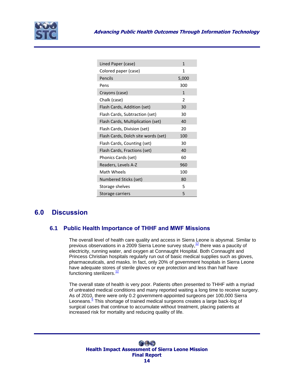

| Lined Paper (case)                  | 1                        |
|-------------------------------------|--------------------------|
| Colored paper (case)                | 1                        |
| Pencils                             | 5,000                    |
| Pens                                | 300                      |
| Crayons (case)                      | 1                        |
| Chalk (case)                        | $\overline{\phantom{a}}$ |
| Flash Cards, Addition (set)         | 30                       |
| Flash Cards, Subtraction (set)      | 30                       |
| Flash Cards, Multiplication (set)   | 40                       |
| Flash Cards, Division (set)         | 20                       |
| Flash Cards, Dolch site words (set) | 100                      |
| Flash Cards, Counting (set)         | 30                       |
| Flash Cards, Fractions (set)        | 40                       |
| Phonics Cards (set)                 | 60                       |
| Readers, Levels A-Z                 | 960                      |
| Math Wheels                         | 100                      |
| Numbered Sticks (set)               | 80                       |
| Storage shelves                     | 5                        |
| Storage carriers                    | 5                        |

# <span id="page-16-1"></span><span id="page-16-0"></span>**6.0 Discussion**

### **6.1 Public Health Importance of THHF and MWF Missions**

The overall level of health care quality and access in Sierra Leone is abysmal. Similar to previous observations in a 2009 Sierra Leone survey study,<sup>[12](#page-20-11)</sup> there was a paucity of electricity, running water, and oxygen at Connaught Hospital. Both Connaught and Princess Christian hospitals regularly run out of basic medical supplies such as gloves, pharmaceuticals, and masks. In fact, only 20% of government hospitals in Sierra Leone have adequate stores of sterile gloves or eye protection and less than half have functioning sterilizers.<sup>[12](#page-20-11)</sup>

The overall state of health is very poor. Patients often presented to THHF with a myriad of untreated medical conditions and many reported waiting a long time to receive surgery. As of 2010, there were only 0.2 government-appointed surgeons per 100,000 Sierra Leoneans[.](#page-20-4)<sup>5</sup> This shortage of trained medical surgeons creates a large back-log of surgical cases that continue to accumulate without treatment, placing patients at increased risk for mortality and reducing quality of life.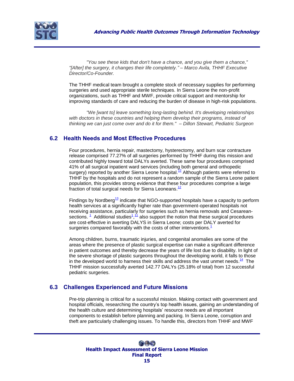

*"You see these kids that don't have a chance, and you give them a chance," "[After] the surgery, it changes their life completely." – Marco Avila, THHF Executive Director/Co-Founder.*

The THHF medical team brought a complete stock of necessary supplies for performing surgeries and used appropriate sterile techniques. In Sierra Leone the non-profit organizations, such as THHF and MWF, provide critical support and mentorship for improving standards of care and reducing the burden of disease in high-risk populations.

*"We [want to] leave something long-lasting behind. It's developing relationships with doctors in these countries and helping them develop their programs, instead of thinking we can just come over and do it for them." – Dillon Stewart, Pediatric Surgeon*

### <span id="page-17-0"></span>**6.2 Health Needs and Most Effective Procedures**

Four procedures, hernia repair, mastectomy, hysterectomy, and burn scar contracture release comprised 77.27% of all surgeries performed by THHF during this mission and contributed highly toward total DALYs averted. These same four procedures comprised 41% of all surgical inpatient ward services (including both general and orthopedic surgery) reported by another Sierra Leone hospital.<sup>[12](#page-20-11)</sup> Although patients were referred to THHF by the hospitals and do not represent a random sample of the Sierra Leone patient population, this provides strong evidence that these four procedures comprise a large fraction of total surgical needs for Sierra Leoneans.<sup>[12](#page-20-11)</sup>

Findings by Nordberg $^{13}$  $^{13}$  $^{13}$  indicate that NGO-supported hospitals have a capacity to perform health services at a significantly higher rate than government-operated hospitals not receiving assistance, particularly for surgeries such as hernia removals and Cesareansections.  $1$  Additional studies $1/1$  also support the notion that these surgical procedures are cost-effective in averting DALYS in Sierra Leone; costs per DALY averted for surgeries compared favorably with the costs of other interventions[.](#page-20-0)<sup>1</sup>

Among children, burns, traumatic injuries, and congenital anomalies are some of the areas where the presence of plastic surgical expertise can make a significant difference in patient outcomes and thereby decrease the years of life lost due to disability. In light of the severe shortage of plastic surgeons throughout the developing world, it falls to those in the developed world to harness their skills and address the vast unmet needs. $\frac{14}{1}$  $\frac{14}{1}$  $\frac{14}{1}$  The THHF mission successfully averted 142.77 DALYs (25.18% of total) from 12 successful pediatric surgeries.

### <span id="page-17-1"></span>**6.3 Challenges Experienced and Future Missions**

Pre-trip planning is critical for a successful mission. Making contact with government and hospital officials, researching the country"s top health issues, gaining an understanding of the health culture and determining hospitals" resource needs are all important components to establish before planning and packing. In Sierra Leone, corruption and theft are particularly challenging issues. To handle this, directors from THHF and MWF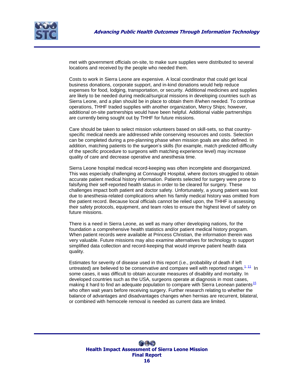

met with government officials on-site, to make sure supplies were distributed to several locations and received by the people who needed them.

Costs to work in Sierra Leone are expensive. A local coordinator that could get local business donations, corporate support, and in-kind donations would help reduce expenses for food, lodging, transportation, or security. Additional medicines and supplies are likely to be needed during medical/surgical missions in developing countries such as Sierra Leone, and a plan should be in place to obtain them if/when needed. To continue operations, THHF traded supplies with another organization, Mercy Ships; however, additional on-site partnerships would have been helpful. Additional viable partnerships are currently being sought out by THHF for future missions.

Care should be taken to select mission volunteers based on skill-sets, so that countryspecific medical needs are addressed while conserving resources and costs. Selection can be completed during a pre-planning phase when mission goals are also defined. In addition, matching patients to the surgeon's skills (for example, match predicted difficulty of the specific procedure to surgeons with matching experience level) may increase quality of care and decrease operative and anesthesia time.

Sierra Leone hospital medical record-keeping was often incomplete and disorganized. This was especially challenging at Connaught Hospital, where doctors struggled to obtain accurate patient medical history information. Patients selected for surgery were prone to falsifying their self-reported health status in order to be cleared for surgery. These challenges impact both patient and doctor safety. Unfortunately, a young patient was lost due to anesthesia-related complications when his family medical history was omitted from the patient record. Because local officials cannot be relied upon, the THHF is assessing their safety protocols, equipment, and team roles to ensure the highest level of safety on future missions.

There is a need in Sierra Leone, as well as many other developing nations, for the foundation a comprehensive health statistics and/or patient medical history program. When patient records were available at Princess Christian, the information therein was very valuable. Future missions may also examine alternatives for technology to support simplified data collection and record-keeping that would improve patient health data quality.

Estimates for severity of disease used in this report (i.e., probability of death if left untreated) are believed to be conservative and compare well with reported ranges. $1/11$  In some cases, it was difficult to obtain accurate measures of disability and mortality. In developed countries such as the USA, surgeons operate at diagnosis in most cases, making it hard to find an adequate population to compare with Sierra Leonean patients<sup>[15](#page-21-2)</sup> who often wait years before receiving surgery. Further research relating to whether the balance of advantages and disadvantages changes when hernias are recurrent, bilateral, or combined with hemocele removal is needed as current data are limited.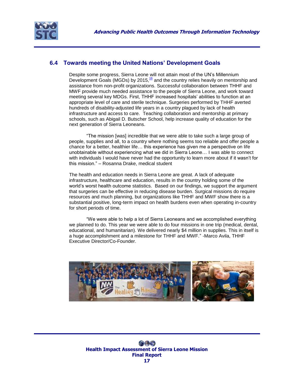

## <span id="page-19-0"></span>**6.4 Towards meeting the United Nations' Development Goals**

Despite some progress, Sierra Leone will not attain most of the UN"s Millennium Development Goals (MGDs) by 2015, <sup>[16](#page-21-3)</sup> and the country relies heavily on mentorship and assistance from non-profit organizations. Successful collaboration between THHF and MWF provide much needed assistance to the people of Sierra Leone, and work toward meeting several key MDGs. First, THHF increased hospitals" abilities to function at an appropriate level of care and sterile technique. Surgeries performed by THHF averted hundreds of disability-adjusted life years in a country plagued by lack of health infrastructure and access to care. Teaching collaboration and mentorship at primary schools, such as Abigail D. Butscher School, help increase quality of education for the next generation of Sierra Leoneans.

"The mission [was] incredible that we were able to take such a large group of people, supplies and all, to a country where nothing seems too reliable and offer people a chance for a better, healthier life… this experience has given me a perspective on life unobtainable without experiencing what we did in Sierra Leone… I was able to connect with individuals I would have never had the opportunity to learn more about if it wasn"t for this mission." – Rosanna Drake, medical student

The health and education needs in Sierra Leone are great. A lack of adequate infrastructure, healthcare and education, results in the country holding some of the world"s worst health outcome statistics. Based on our findings, we support the argument that surgeries can be effective in reducing disease burden. Surgical missions do require resources and much planning, but organizations like THHF and MWF show there is a substantial positive, long-term impact on health burdens even when operating in-country for short periods of time.

"We were able to help a lot of Sierra Leoneans and we accomplished everything we planned to do. This year we were able to do four missions in one trip (medical, dental, educational, and humanitarian). We delivered nearly \$4 million in supplies. This in itself is a huge accomplishment and a milestone for THHF and MWF." -Marco Avila, THHF Executive Director/Co-Founder.

<span id="page-19-1"></span>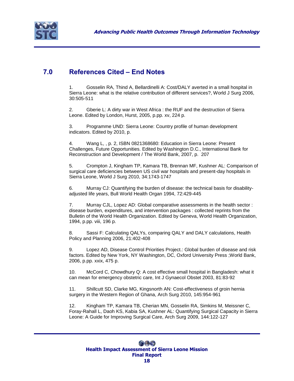

# **7.0 References Cited – End Notes**

<span id="page-20-0"></span>1. Gosselin RA, Thind A, Bellardinelli A: Cost/DALY averted in a small hospital in Sierra Leone: what is the relative contribution of different services?, World J Surg 2006, 30:505-511

<span id="page-20-1"></span>2. Gberie L: A dirty war in West Africa : the RUF and the destruction of Sierra Leone. Edited by London, Hurst, 2005, p.pp. xv, 224 p.

<span id="page-20-2"></span>3. Programme UND: Sierra Leone: Country profile of human development indicators. Edited by 2010, p.

<span id="page-20-3"></span>4. Wang L, , p. 2, ISBN 0821368680: Education in Sierra Leone: Present Challenges, Future Opportunities. Edited by Washington D.C., International Bank for Reconstruction and Development / The World Bank, 2007, p. 207

<span id="page-20-4"></span>5. Crompton J, Kingham TP, Kamara TB, Brennan MF, Kushner AL: Comparison of surgical care deficiencies between US civil war hospitals and present-day hospitals in Sierra Leone, World J Surg 2010, 34:1743-1747

<span id="page-20-5"></span>6. Murray CJ: Quantifying the burden of disease: the technical basis for disabilityadjusted life years, Bull World Health Organ 1994, 72:429-445

<span id="page-20-6"></span>7. Murray CJL, Lopez AD: Global comparative assessments in the health sector : disease burden, expenditures, and intervention packages : collected reprints from the Bulletin of the World Health Organization. Edited by Geneva, World Health Organization, 1994, p.pp. viii, 196 p.

<span id="page-20-7"></span>8. Sassi F: Calculating QALYs, comparing QALY and DALY calculations, Health Policy and Planning 2006, 21:402-408

<span id="page-20-8"></span>9. Lopez AD, Disease Control Priorities Project.: Global burden of disease and risk factors. Edited by New York, NY Washington, DC, Oxford University Press ;World Bank, 2006, p.pp. xxix, 475 p.

<span id="page-20-9"></span>10. McCord C, Chowdhury Q: A cost effective small hospital in Bangladesh: what it can mean for emergency obstetric care, Int J Gynaecol Obstet 2003, 81:83-92

<span id="page-20-10"></span>11. Shillcutt SD, Clarke MG, Kingsnorth AN: Cost-effectiveness of groin hernia surgery in the Western Region of Ghana, Arch Surg 2010, 145:954-961

<span id="page-20-11"></span>12. Kingham TP, Kamara TB, Cherian MN, Gosselin RA, Simkins M, Meissner C, Foray-Rahall L, Daoh KS, Kabia SA, Kushner AL: Quantifying Surgical Capacity in Sierra Leone: A Guide for Improving Surgical Care, Arch Surg 2009, 144:122-127